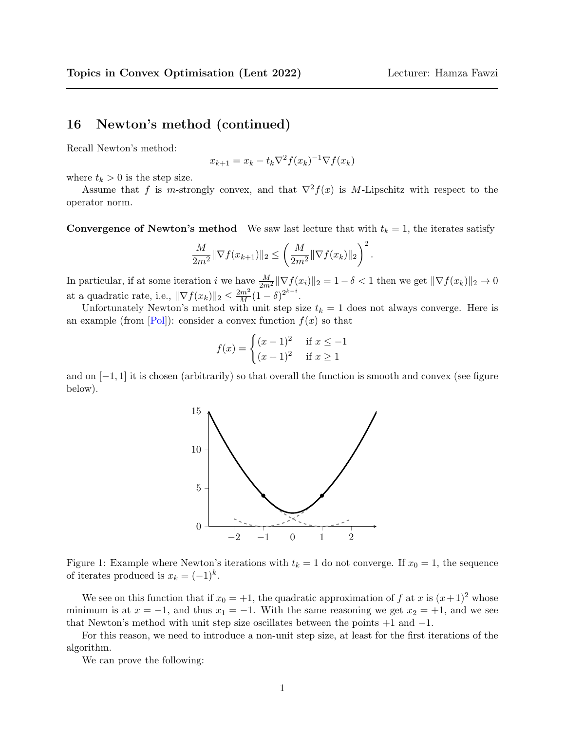## <span id="page-0-0"></span>16 Newton's method (continued)

Recall Newton's method:

$$
x_{k+1} = x_k - t_k \nabla^2 f(x_k)^{-1} \nabla f(x_k)
$$

where  $t_k > 0$  is the step size.

Assume that f is m-strongly convex, and that  $\nabla^2 f(x)$  is M-Lipschitz with respect to the operator norm.

**Convergence of Newton's method** We saw last lecture that with  $t_k = 1$ , the iterates satisfy

$$
\frac{M}{2m^2} \|\nabla f(x_{k+1})\|_2 \le \left(\frac{M}{2m^2} \|\nabla f(x_k)\|_2\right)^2.
$$

In particular, if at some iteration i we have  $\frac{M}{2m^2} \|\nabla f(x_i)\|_2 = 1 - \delta < 1$  then we get  $\|\nabla f(x_k)\|_2 \to 0$ at a quadratic rate, i.e.,  $\|\nabla f(x_k)\|_2 \leq \frac{2m^2}{M}(1-\delta)^{2^{k-i}}$ .

Unfortunately Newton's method with unit step size  $t_k = 1$  does not always converge. Here is an example (from  $[Pol]$ ): consider a convex function  $f(x)$  so that

$$
f(x) = \begin{cases} (x-1)^2 & \text{if } x \le -1\\ (x+1)^2 & \text{if } x \ge 1 \end{cases}
$$

and on  $[-1, 1]$  it is chosen (arbitrarily) so that overall the function is smooth and convex (see figure below).



Figure 1: Example where Newton's iterations with  $t_k = 1$  do not converge. If  $x_0 = 1$ , the sequence of iterates produced is  $x_k = (-1)^k$ .

We see on this function that if  $x_0 = +1$ , the quadratic approximation of f at x is  $(x+1)^2$  whose minimum is at  $x = -1$ , and thus  $x_1 = -1$ . With the same reasoning we get  $x_2 = +1$ , and we see that Newton's method with unit step size oscillates between the points  $+1$  and  $-1$ .

For this reason, we need to introduce a non-unit step size, at least for the first iterations of the algorithm.

We can prove the following: